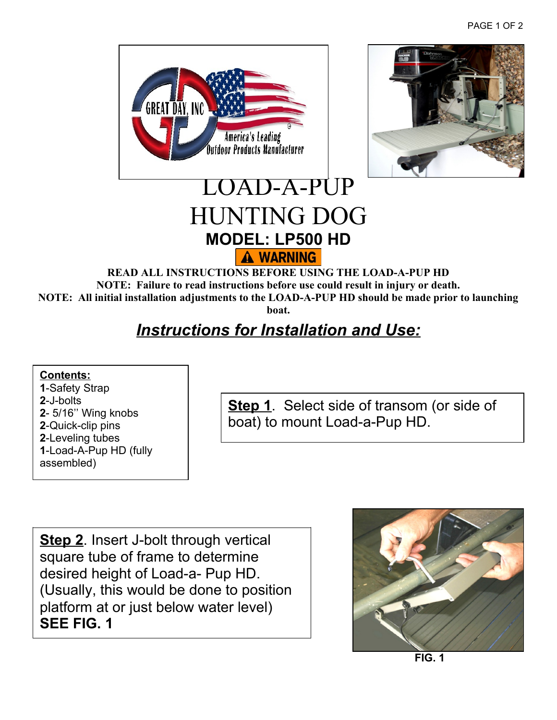



## LOAD-A-PUP HUNTING DOG **MODEL: LP500 HD** A WARNING

**READ ALL INSTRUCTIONS BEFORE USING THE LOAD-A-PUP HD NOTE: Failure to read instructions before use could result in injury or death. NOTE: All initial installation adjustments to the LOAD-A-PUP HD should be made prior to launching boat.**

## *Instructions for Installation and Use:*

**Contents:** -Safety Strap **2**-J-bolts - 5/16'' Wing knobs -Quick-clip pins -Leveling tubes -Load-A-Pup HD (fully assembled)

**Step 1**. Select side of transom (or side of boat) to mount Load-a-Pup HD.

**Step 2**. Insert J-bolt through vertical square tube of frame to determine desired height of Load-a- Pup HD. (Usually, this would be done to position platform at or just below water level) **SEE FIG. 1** 



 **FIG. 1**